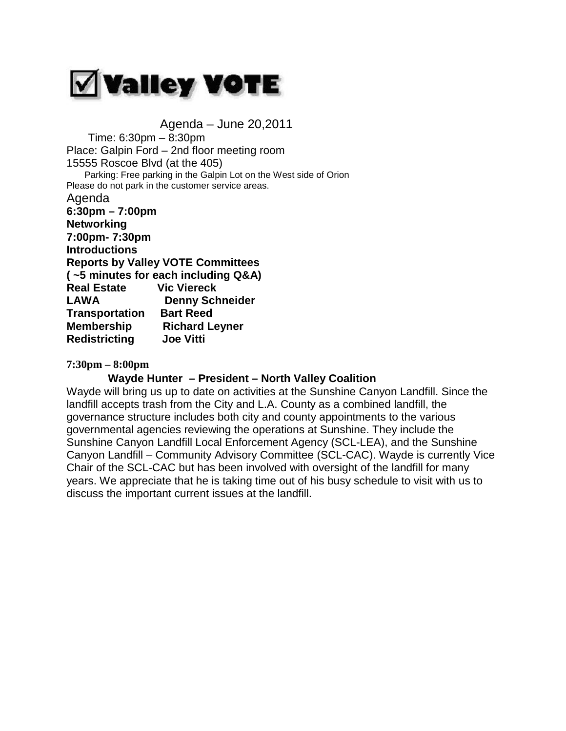

 Agenda – June 20,2011 Time: 6:30pm – 8:30pm Place: Galpin Ford – 2nd floor meeting room 15555 Roscoe Blvd (at the 405) Parking: Free parking in the Galpin Lot on the West side of Orion Please do not park in the customer service areas.

Agenda **6:30pm – 7:00pm Networking 7:00pm- 7:30pm Introductions Reports by Valley VOTE Committees ( ~5 minutes for each including Q&A) Real Estate Vic Viereck LAWA Denny Schneider Transportation Bart Reed Membership Richard Leyner Redistricting Joe Vitti**

## **7:30pm – 8:00pm**

## **Wayde Hunter – President – North Valley Coalition**

Wayde will bring us up to date on activities at the Sunshine Canyon Landfill. Since the landfill accepts trash from the City and L.A. County as a combined landfill, the governance structure includes both city and county appointments to the various governmental agencies reviewing the operations at Sunshine. They include the Sunshine Canyon Landfill Local Enforcement Agency (SCL-LEA), and the Sunshine Canyon Landfill – Community Advisory Committee (SCL-CAC). Wayde is currently Vice Chair of the SCL-CAC but has been involved with oversight of the landfill for many years. We appreciate that he is taking time out of his busy schedule to visit with us to discuss the important current issues at the landfill.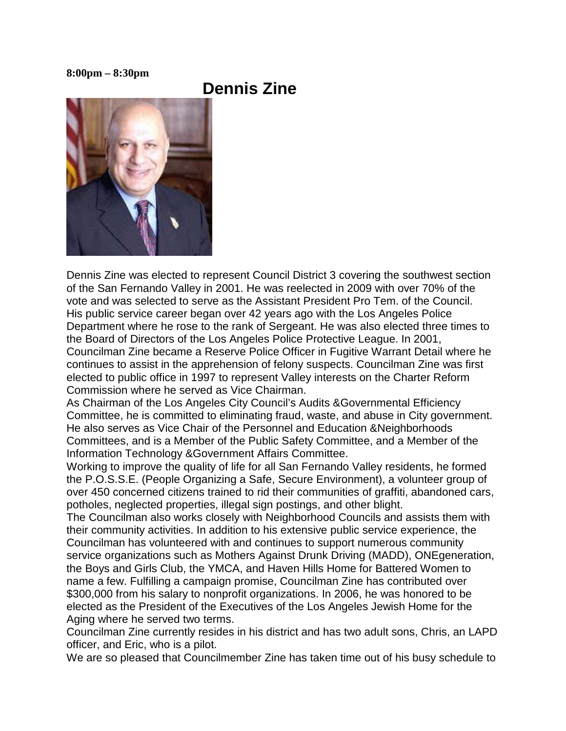## **8:00pm – 8:30pm**

## **Dennis Zine**



Dennis Zine was elected to represent Council District 3 covering the southwest section of the San Fernando Valley in 2001. He was reelected in 2009 with over 70% of the vote and was selected to serve as the Assistant President Pro Tem. of the Council. His public service career began over 42 years ago with the Los Angeles Police Department where he rose to the rank of Sergeant. He was also elected three times to the Board of Directors of the Los Angeles Police Protective League. In 2001, Councilman Zine became a Reserve Police Officer in Fugitive Warrant Detail where he continues to assist in the apprehension of felony suspects. Councilman Zine was first elected to public office in 1997 to represent Valley interests on the Charter Reform Commission where he served as Vice Chairman.

As Chairman of the Los Angeles City Council's Audits &Governmental Efficiency Committee, he is committed to eliminating fraud, waste, and abuse in City government. He also serves as Vice Chair of the Personnel and Education &Neighborhoods Committees, and is a Member of the Public Safety Committee, and a Member of the Information Technology &Government Affairs Committee.

Working to improve the quality of life for all San Fernando Valley residents, he formed the P.O.S.S.E. (People Organizing a Safe, Secure Environment), a volunteer group of over 450 concerned citizens trained to rid their communities of graffiti, abandoned cars, potholes, neglected properties, illegal sign postings, and other blight.

The Councilman also works closely with Neighborhood Councils and assists them with their community activities. In addition to his extensive public service experience, the Councilman has volunteered with and continues to support numerous community service organizations such as Mothers Against Drunk Driving (MADD), ONEgeneration, the Boys and Girls Club, the YMCA, and Haven Hills Home for Battered Women to name a few. Fulfilling a campaign promise, Councilman Zine has contributed over \$300,000 from his salary to nonprofit organizations. In 2006, he was honored to be elected as the President of the Executives of the Los Angeles Jewish Home for the Aging where he served two terms.

Councilman Zine currently resides in his district and has two adult sons, Chris, an LAPD officer, and Eric, who is a pilot.

We are so pleased that Councilmember Zine has taken time out of his busy schedule to